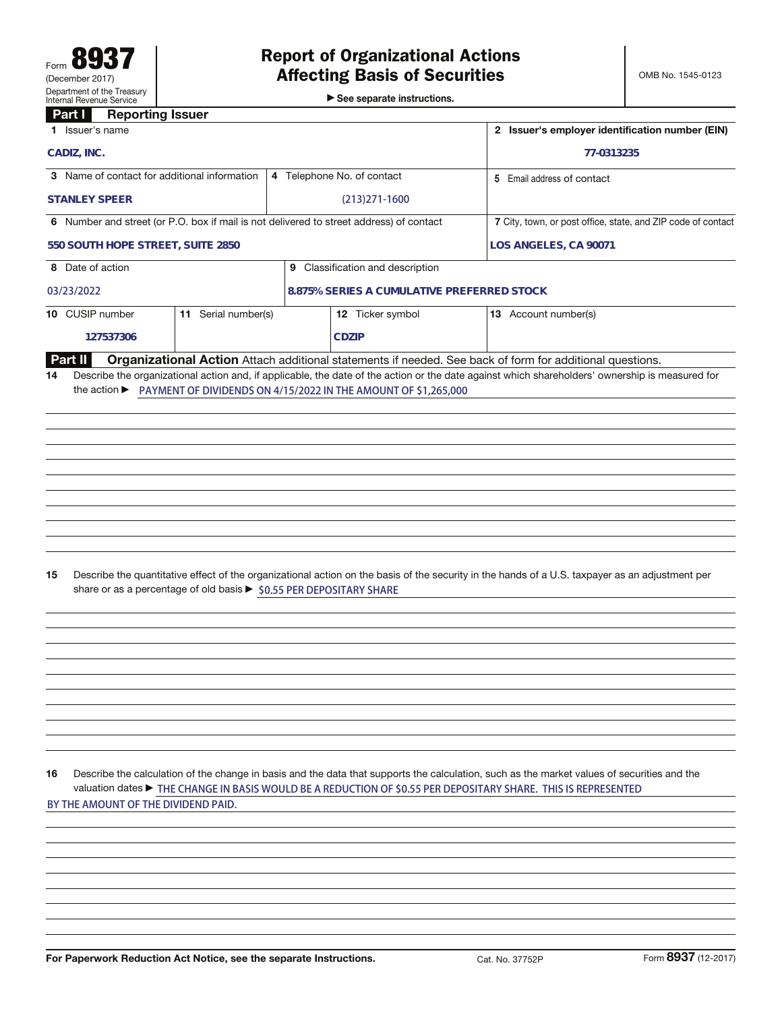See separate instructions.

## **Part I Reporting Issuer**

| ы.<br><b>TRANGE CONSTRUCT</b><br>1 Issuer's name                                        |                                                                     |                            | 2 Issuer's employer identification number (EIN) |                                                                                                                                                                                                                                                               |                     |  |
|-----------------------------------------------------------------------------------------|---------------------------------------------------------------------|----------------------------|-------------------------------------------------|---------------------------------------------------------------------------------------------------------------------------------------------------------------------------------------------------------------------------------------------------------------|---------------------|--|
| CADIZ, INC.                                                                             |                                                                     |                            | 77-0313235                                      |                                                                                                                                                                                                                                                               |                     |  |
| 3 Name of contact for additional information                                            |                                                                     | 4 Telephone No. of contact |                                                 | 5 Email address of contact                                                                                                                                                                                                                                    |                     |  |
| <b>STANLEY SPEER</b>                                                                    |                                                                     |                            | $(213)271-1600$                                 |                                                                                                                                                                                                                                                               |                     |  |
| 6 Number and street (or P.O. box if mail is not delivered to street address) of contact |                                                                     |                            |                                                 | 7 City, town, or post office, state, and ZIP code of contact                                                                                                                                                                                                  |                     |  |
| 550 SOUTH HOPE STREET, SUITE 2850                                                       |                                                                     | LOS ANGELES, CA 90071      |                                                 |                                                                                                                                                                                                                                                               |                     |  |
| 8 Date of action                                                                        |                                                                     |                            | 9 Classification and description                |                                                                                                                                                                                                                                                               |                     |  |
| 03/23/2022                                                                              |                                                                     |                            | 8.875% SERIES A CUMULATIVE PREFERRED STOCK      |                                                                                                                                                                                                                                                               |                     |  |
| 10 CUSIP number                                                                         | 11 Serial number(s)                                                 |                            | 12 Ticker symbol                                | 13 Account number(s)                                                                                                                                                                                                                                          |                     |  |
| 127537306                                                                               |                                                                     |                            | <b>CDZIP</b>                                    |                                                                                                                                                                                                                                                               |                     |  |
| <b>Part II</b>                                                                          |                                                                     |                            |                                                 | Organizational Action Attach additional statements if needed. See back of form for additional questions.                                                                                                                                                      |                     |  |
| 15                                                                                      | share or as a percentage of old basis ▶ \$0.55 PER DEPOSITARY SHARE |                            |                                                 | Describe the quantitative effect of the organizational action on the basis of the security in the hands of a U.S. taxpayer as an adjustment per                                                                                                               |                     |  |
| 16<br>BY THE AMOUNT OF THE DIVIDEND PAID.                                               |                                                                     |                            |                                                 | Describe the calculation of the change in basis and the data that supports the calculation, such as the market values of securities and the<br>valuation dates ► THE CHANGE IN BASIS WOULD BE A REDUCTION OF \$0.55 PER DEPOSITARY SHARE. THIS IS REPRESENTED |                     |  |
| For Paperwork Reduction Act Notice, see the separate Instructions.                      |                                                                     |                            |                                                 | Cat. No. 37752P                                                                                                                                                                                                                                               | Form 8937 (12-2017) |  |